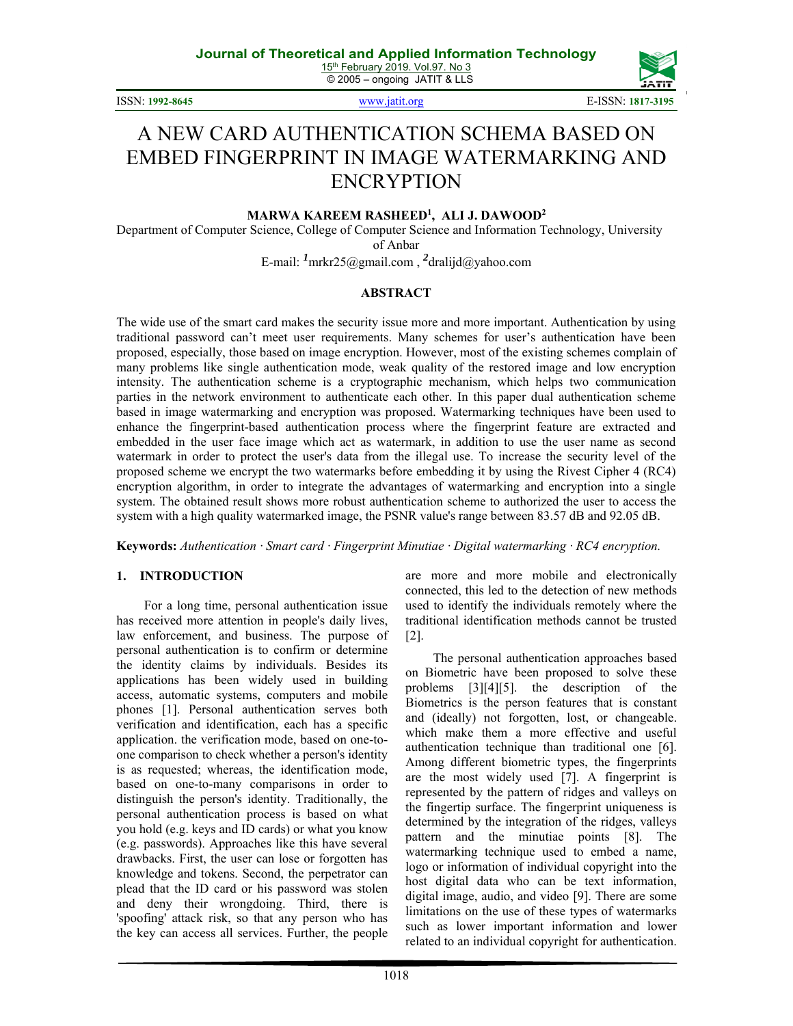ISSN: **1992-8645** www.jatit.org E-ISSN: **1817-3195**



# A NEW CARD AUTHENTICATION SCHEMA BASED ON EMBED FINGERPRINT IN IMAGE WATERMARKING AND ENCRYPTION

#### **MARWA KAREEM RASHEED1 , ALI J. DAWOOD2**

Department of Computer Science, College of Computer Science and Information Technology, University of Anbar

E-mail: *<sup>1</sup>* mrkr25@gmail.com , *<sup>2</sup>* dralijd@yahoo.com

#### **ABSTRACT**

The wide use of the smart card makes the security issue more and more important. Authentication by using traditional password can't meet user requirements. Many schemes for user's authentication have been proposed, especially, those based on image encryption. However, most of the existing schemes complain of many problems like single authentication mode, weak quality of the restored image and low encryption intensity. The authentication scheme is a cryptographic mechanism, which helps two communication parties in the network environment to authenticate each other. In this paper dual authentication scheme based in image watermarking and encryption was proposed. Watermarking techniques have been used to enhance the fingerprint-based authentication process where the fingerprint feature are extracted and embedded in the user face image which act as watermark, in addition to use the user name as second watermark in order to protect the user's data from the illegal use. To increase the security level of the proposed scheme we encrypt the two watermarks before embedding it by using the Rivest Cipher 4 (RC4) encryption algorithm, in order to integrate the advantages of watermarking and encryption into a single system. The obtained result shows more robust authentication scheme to authorized the user to access the system with a high quality watermarked image, the PSNR value's range between 83.57 dB and 92.05 dB.

**Keywords:** *Authentication ꞏ Smart card ꞏ Fingerprint Minutiae ꞏ Digital watermarking ꞏ RC4 encryption.* 

#### **1. INTRODUCTION**

For a long time, personal authentication issue has received more attention in people's daily lives, law enforcement, and business. The purpose of personal authentication is to confirm or determine the identity claims by individuals. Besides its applications has been widely used in building access, automatic systems, computers and mobile phones [1]. Personal authentication serves both verification and identification, each has a specific application. the verification mode, based on one-toone comparison to check whether a person's identity is as requested; whereas, the identification mode, based on one-to-many comparisons in order to distinguish the person's identity. Traditionally, the personal authentication process is based on what you hold (e.g. keys and ID cards) or what you know (e.g. passwords). Approaches like this have several drawbacks. First, the user can lose or forgotten has knowledge and tokens. Second, the perpetrator can plead that the ID card or his password was stolen and deny their wrongdoing. Third, there is 'spoofing' attack risk, so that any person who has the key can access all services. Further, the people are more and more mobile and electronically connected, this led to the detection of new methods used to identify the individuals remotely where the traditional identification methods cannot be trusted [2].

The personal authentication approaches based on Biometric have been proposed to solve these problems [3][4][5]. the description of the Biometrics is the person features that is constant and (ideally) not forgotten, lost, or changeable. which make them a more effective and useful authentication technique than traditional one [6]. Among different biometric types, the fingerprints are the most widely used [7]. A fingerprint is represented by the pattern of ridges and valleys on the fingertip surface. The fingerprint uniqueness is determined by the integration of the ridges, valleys pattern and the minutiae points [8]. The watermarking technique used to embed a name, logo or information of individual copyright into the host digital data who can be text information, digital image, audio, and video [9]. There are some limitations on the use of these types of watermarks such as lower important information and lower related to an individual copyright for authentication.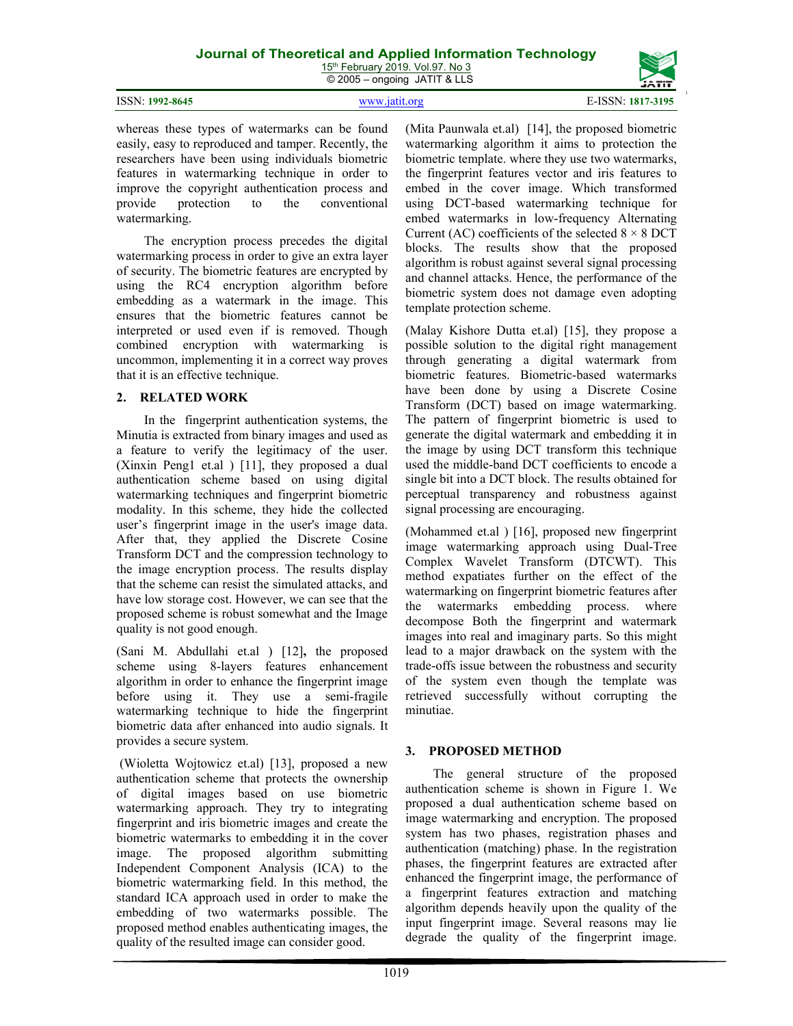15<sup>th</sup> February 2019. Vol.97. No 3 © 2005 – ongoing JATIT & LLS

|                 | .             | ,,,,,,            |
|-----------------|---------------|-------------------|
| ISSN: 1992-8645 | www.jatit.org | E-ISSN: 1817-3195 |

whereas these types of watermarks can be found easily, easy to reproduced and tamper. Recently, the researchers have been using individuals biometric features in watermarking technique in order to improve the copyright authentication process and provide protection to the conventional watermarking.

The encryption process precedes the digital watermarking process in order to give an extra layer of security. The biometric features are encrypted by using the RC4 encryption algorithm before embedding as a watermark in the image. This ensures that the biometric features cannot be interpreted or used even if is removed. Though combined encryption with watermarking is uncommon, implementing it in a correct way proves that it is an effective technique.

## **2. RELATED WORK**

In the fingerprint authentication systems, the Minutia is extracted from binary images and used as a feature to verify the legitimacy of the user. (Xinxin Peng1 et.al ) [11], they proposed a dual authentication scheme based on using digital watermarking techniques and fingerprint biometric modality. In this scheme, they hide the collected user's fingerprint image in the user's image data. After that, they applied the Discrete Cosine Transform DCT and the compression technology to the image encryption process. The results display that the scheme can resist the simulated attacks, and have low storage cost. However, we can see that the proposed scheme is robust somewhat and the Image quality is not good enough.

(Sani M. Abdullahi et.al ) [12]**,** the proposed scheme using 8-layers features enhancement algorithm in order to enhance the fingerprint image before using it. They use a semi-fragile watermarking technique to hide the fingerprint biometric data after enhanced into audio signals. It provides a secure system.

 (Wioletta Wojtowicz et.al) [13], proposed a new authentication scheme that protects the ownership of digital images based on use biometric watermarking approach. They try to integrating fingerprint and iris biometric images and create the biometric watermarks to embedding it in the cover image. The proposed algorithm submitting Independent Component Analysis (ICA) to the biometric watermarking field. In this method, the standard ICA approach used in order to make the embedding of two watermarks possible. The proposed method enables authenticating images, the quality of the resulted image can consider good.

(Mita Paunwala et.al) [14], the proposed biometric watermarking algorithm it aims to protection the biometric template. where they use two watermarks, the fingerprint features vector and iris features to embed in the cover image. Which transformed using DCT-based watermarking technique for embed watermarks in low-frequency Alternating Current (AC) coefficients of the selected  $8 \times 8$  DCT blocks. The results show that the proposed algorithm is robust against several signal processing and channel attacks. Hence, the performance of the biometric system does not damage even adopting template protection scheme.

(Malay Kishore Dutta et.al) [15], they propose a possible solution to the digital right management through generating a digital watermark from biometric features. Biometric-based watermarks have been done by using a Discrete Cosine Transform (DCT) based on image watermarking. The pattern of fingerprint biometric is used to generate the digital watermark and embedding it in the image by using DCT transform this technique used the middle-band DCT coefficients to encode a single bit into a DCT block. The results obtained for perceptual transparency and robustness against signal processing are encouraging.

(Mohammed et.al ) [16], proposed new fingerprint image watermarking approach using Dual-Tree Complex Wavelet Transform (DTCWT). This method expatiates further on the effect of the watermarking on fingerprint biometric features after the watermarks embedding process. where decompose Both the fingerprint and watermark images into real and imaginary parts. So this might lead to a major drawback on the system with the trade-offs issue between the robustness and security of the system even though the template was retrieved successfully without corrupting the minutiae.

# **3. PROPOSED METHOD**

The general structure of the proposed authentication scheme is shown in Figure 1. We proposed a dual authentication scheme based on image watermarking and encryption. The proposed system has two phases, registration phases and authentication (matching) phase. In the registration phases, the fingerprint features are extracted after enhanced the fingerprint image, the performance of a fingerprint features extraction and matching algorithm depends heavily upon the quality of the input fingerprint image. Several reasons may lie degrade the quality of the fingerprint image.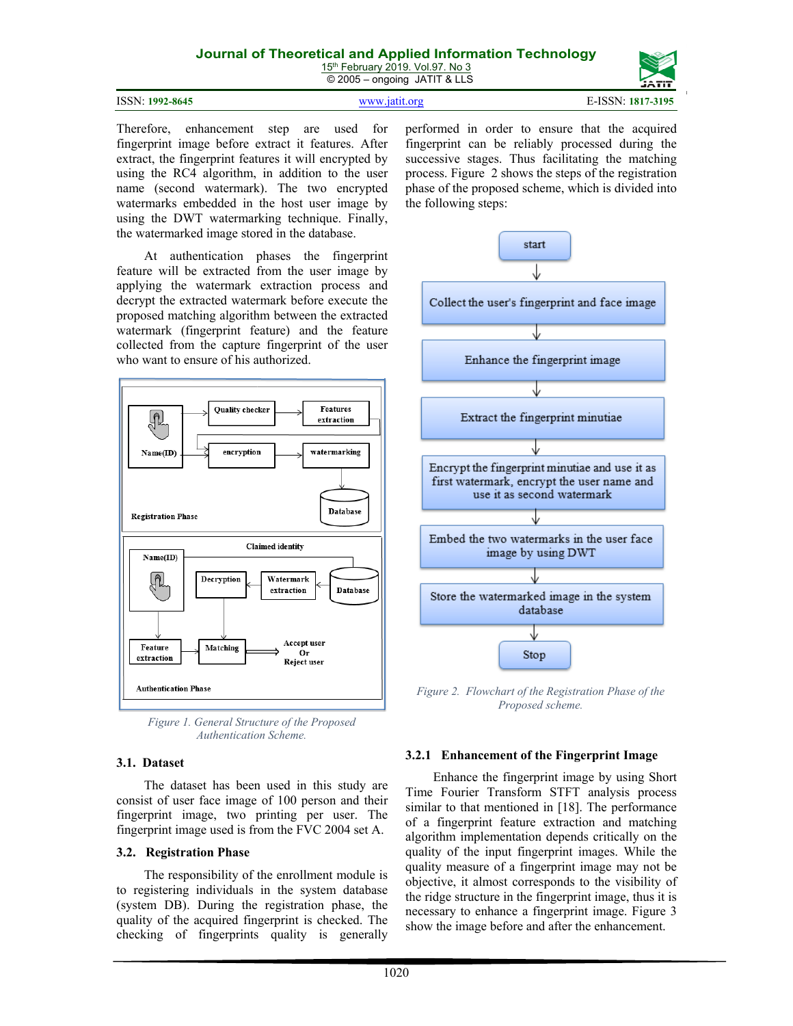15<sup>th</sup> February 2019. Vol.97. No 3 © 2005 – ongoing JATIT & LLS

| ISSN: 1992-8645 | www.jatit.org | E-ISSN: 1817-3195 |
|-----------------|---------------|-------------------|

Therefore, enhancement step are used for fingerprint image before extract it features. After extract, the fingerprint features it will encrypted by using the RC4 algorithm, in addition to the user name (second watermark). The two encrypted watermarks embedded in the host user image by using the DWT watermarking technique. Finally, the watermarked image stored in the database.

At authentication phases the fingerprint feature will be extracted from the user image by applying the watermark extraction process and decrypt the extracted watermark before execute the proposed matching algorithm between the extracted watermark (fingerprint feature) and the feature collected from the capture fingerprint of the user who want to ensure of his authorized.



*Figure 1. General Structure of the Proposed Authentication Scheme.*

#### **3.1. Dataset**

The dataset has been used in this study are consist of user face image of 100 person and their fingerprint image, two printing per user. The fingerprint image used is from the FVC 2004 set A.

#### **3.2. Registration Phase**

The responsibility of the enrollment module is to registering individuals in the system database (system DB). During the registration phase, the quality of the acquired fingerprint is checked. The checking of fingerprints quality is generally performed in order to ensure that the acquired fingerprint can be reliably processed during the successive stages. Thus facilitating the matching process. Figure 2 shows the steps of the registration phase of the proposed scheme, which is divided into the following steps:



*Figure 2. Flowchart of the Registration Phase of the Proposed scheme.*

#### **3.2.1 Enhancement of the Fingerprint Image**

Enhance the fingerprint image by using Short Time Fourier Transform STFT analysis process similar to that mentioned in [18]. The performance of a fingerprint feature extraction and matching algorithm implementation depends critically on the quality of the input fingerprint images. While the quality measure of a fingerprint image may not be objective, it almost corresponds to the visibility of the ridge structure in the fingerprint image, thus it is necessary to enhance a fingerprint image. Figure 3 show the image before and after the enhancement.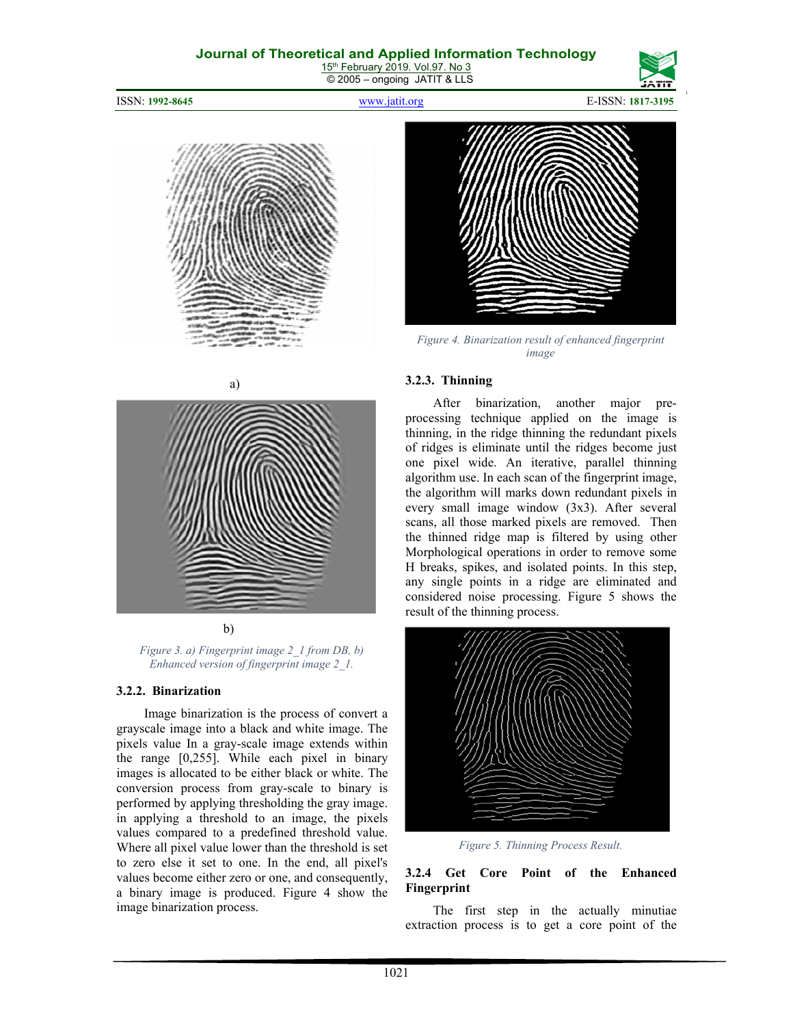15<sup>th</sup> February 2019. Vol.97. No 3 © 2005 – ongoing JATIT & LLS

#### ISSN: **1992-8645** www.jatit.org E-ISSN: **1817-3195**







*Figure 4. Binarization result of enhanced fingerprint image* 





b)

*Figure 3. a) Fingerprint image 2\_1 from DB, b) Enhanced version of fingerprint image 2\_1.* 

#### **3.2.2. Binarization**

Image binarization is the process of convert a grayscale image into a black and white image. The pixels value In a gray-scale image extends within the range [0,255]. While each pixel in binary images is allocated to be either black or white. The conversion process from gray-scale to binary is performed by applying thresholding the gray image. in applying a threshold to an image, the pixels values compared to a predefined threshold value. Where all pixel value lower than the threshold is set to zero else it set to one. In the end, all pixel's values become either zero or one, and consequently, a binary image is produced. Figure 4 show the image binarization process.

#### **3.2.3. Thinning**

After binarization, another major preprocessing technique applied on the image is thinning, in the ridge thinning the redundant pixels of ridges is eliminate until the ridges become just one pixel wide. An iterative, parallel thinning algorithm use. In each scan of the fingerprint image, the algorithm will marks down redundant pixels in every small image window (3x3). After several scans, all those marked pixels are removed. Then the thinned ridge map is filtered by using other Morphological operations in order to remove some H breaks, spikes, and isolated points. In this step, any single points in a ridge are eliminated and considered noise processing. Figure 5 shows the result of the thinning process.



*Figure 5. Thinning Process Result.* 

#### **3.2.4 Get Core Point of the Enhanced Fingerprint**

The first step in the actually minutiae extraction process is to get a core point of the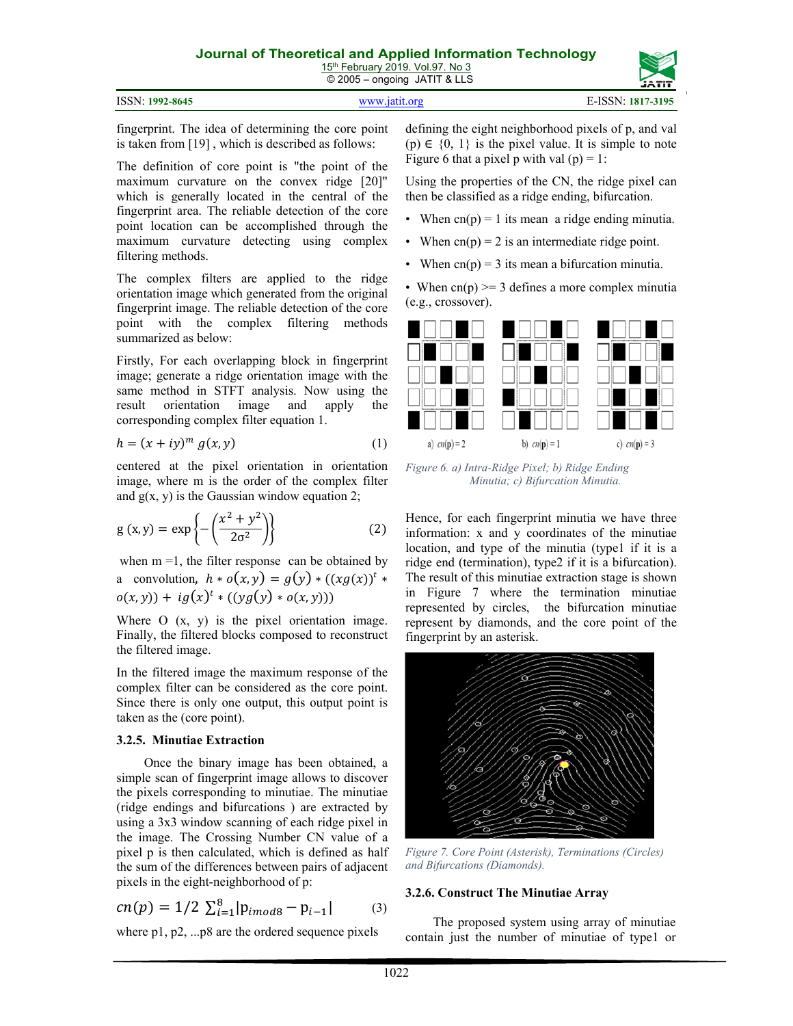|                 | __            |                   | ----- |
|-----------------|---------------|-------------------|-------|
| ISSN: 1992-8645 | www.jatit.org | E-ISSN: 1817-3195 |       |

fingerprint. The idea of determining the core point is taken from [19] , which is described as follows:

The definition of core point is "the point of the maximum curvature on the convex ridge [20]" which is generally located in the central of the fingerprint area. The reliable detection of the core point location can be accomplished through the maximum curvature detecting using complex filtering methods.

The complex filters are applied to the ridge orientation image which generated from the original fingerprint image. The reliable detection of the core point with the complex filtering methods summarized as below:

Firstly, For each overlapping block in fingerprint image; generate a ridge orientation image with the same method in STFT analysis. Now using the result orientation image and apply the corresponding complex filter equation 1.

$$
h = (x + iy)^m g(x, y) \tag{1}
$$

centered at the pixel orientation in orientation image, where m is the order of the complex filter and  $g(x, y)$  is the Gaussian window equation 2;

$$
g(x,y) = \exp\left\{-\left(\frac{x^2 + y^2}{2\sigma^2}\right)\right\}
$$
 (2)

when  $m = 1$ , the filter response can be obtained by a convolution,  $h * o(x, y) = g(y) * ((xg(x))^{t} *$  $o(x, y) + ig(x)^t * ((yg(y) * o(x, y)))$ 

Where O  $(x, y)$  is the pixel orientation image. Finally, the filtered blocks composed to reconstruct the filtered image.

In the filtered image the maximum response of the complex filter can be considered as the core point. Since there is only one output, this output point is taken as the (core point).

## **3.2.5. Minutiae Extraction**

Once the binary image has been obtained, a simple scan of fingerprint image allows to discover the pixels corresponding to minutiae. The minutiae (ridge endings and bifurcations ) are extracted by using a 3x3 window scanning of each ridge pixel in the image. The Crossing Number CN value of a pixel p is then calculated, which is defined as half the sum of the differences between pairs of adjacent pixels in the eight-neighborhood of p:

$$
cn(p) = 1/2 \sum_{i=1}^{8} |p_{imoda} - p_{i-1}| \tag{3}
$$

where p1, p2, ...p8 are the ordered sequence pixels

defining the eight neighborhood pixels of p, and val  $(p) \in \{0, 1\}$  is the pixel value. It is simple to note Figure 6 that a pixel p with val  $(p) = 1$ :

Using the properties of the CN, the ridge pixel can then be classified as a ridge ending, bifurcation.

- When  $cn(p) = 1$  its mean a ridge ending minutia.
- When  $cn(p) = 2$  is an intermediate ridge point.
- When  $cn(p) = 3$  its mean a bifurcation minutia.

• When  $cn(p) \ge 3$  defines a more complex minutia (e.g., crossover).



*Figure 6. a) Intra-Ridge Pixel; b) Ridge Ending Minutia; c) Bifurcation Minutia.*

Hence, for each fingerprint minutia we have three information: x and y coordinates of the minutiae location, and type of the minutia (type1 if it is a ridge end (termination), type2 if it is a bifurcation). The result of this minutiae extraction stage is shown in Figure 7 where the termination minutiae represented by circles, the bifurcation minutiae represent by diamonds, and the core point of the fingerprint by an asterisk.



*Figure 7. Core Point (Asterisk), Terminations (Circles) and Bifurcations (Diamonds).* 

## **3.2.6. Construct The Minutiae Array**

The proposed system using array of minutiae contain just the number of minutiae of type1 or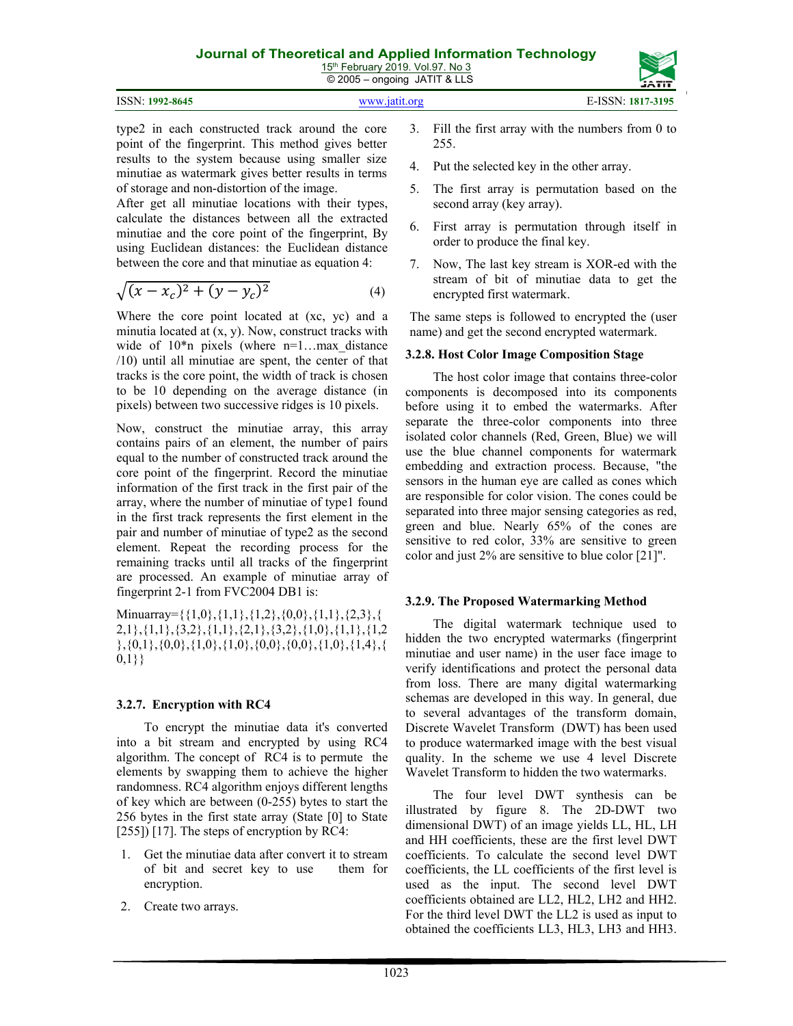|                 | _____         | -----             |
|-----------------|---------------|-------------------|
| ISSN: 1992-8645 | www.iatit.org | E-ISSN: 1817-3195 |

type2 in each constructed track around the core point of the fingerprint. This method gives better results to the system because using smaller size minutiae as watermark gives better results in terms of storage and non-distortion of the image.

After get all minutiae locations with their types, calculate the distances between all the extracted minutiae and the core point of the fingerprint, By using Euclidean distances: the Euclidean distance between the core and that minutiae as equation 4:

$$
\sqrt{(x - x_c)^2 + (y - y_c)^2}
$$
 (4)

Where the core point located at (xc, yc) and a minutia located at (x, y). Now, construct tracks with wide of  $10^*$ n pixels (where n=1...max distance /10) until all minutiae are spent, the center of that tracks is the core point, the width of track is chosen to be 10 depending on the average distance (in pixels) between two successive ridges is 10 pixels.

Now, construct the minutiae array, this array contains pairs of an element, the number of pairs equal to the number of constructed track around the core point of the fingerprint. Record the minutiae information of the first track in the first pair of the array, where the number of minutiae of type1 found in the first track represents the first element in the pair and number of minutiae of type2 as the second element. Repeat the recording process for the remaining tracks until all tracks of the fingerprint are processed. An example of minutiae array of fingerprint 2-1 from FVC2004 DB1 is:

Minuarray={ $\{1,0\},\{1,1\},\{1,2\},\{0,0\},\{1,1\},\{2,3\},\{$ 2,1},{1,1},{3,2},{1,1},{2,1},{3,2},{1,0},{1,1},{1,2  $\{0,1\},\{0,0\},\{1,0\},\{1,0\},\{0,0\},\{0,0\},\{1,0\},\{1,4\},\{1,4\}$ 0,1}}

## **3.2.7. Encryption with RC4**

To encrypt the minutiae data it's converted into a bit stream and encrypted by using RC4 algorithm. The concept of RC4 is to permute the elements by swapping them to achieve the higher randomness. RC4 algorithm enjoys different lengths of key which are between (0-255) bytes to start the 256 bytes in the first state array (State [0] to State [255]) [17]. The steps of encryption by RC4:

- 1. Get the minutiae data after convert it to stream of bit and secret key to use them for encryption.
- 2. Create two arrays.
- 3. Fill the first array with the numbers from 0 to 255.
- 4. Put the selected key in the other array.
- 5. The first array is permutation based on the second array (key array).
- 6. First array is permutation through itself in order to produce the final key.
- 7. Now, The last key stream is XOR-ed with the stream of bit of minutiae data to get the encrypted first watermark.

The same steps is followed to encrypted the (user name) and get the second encrypted watermark.

#### **3.2.8. Host Color Image Composition Stage**

The host color image that contains three-color components is decomposed into its components before using it to embed the watermarks. After separate the three-color components into three isolated color channels (Red, Green, Blue) we will use the blue channel components for watermark embedding and extraction process. Because, "the sensors in the human eye are called as cones which are responsible for color vision. The cones could be separated into three major sensing categories as red, green and blue. Nearly 65% of the cones are sensitive to red color, 33% are sensitive to green color and just 2% are sensitive to blue color [21]".

#### **3.2.9. The Proposed Watermarking Method**

The digital watermark technique used to hidden the two encrypted watermarks (fingerprint minutiae and user name) in the user face image to verify identifications and protect the personal data from loss. There are many digital watermarking schemas are developed in this way. In general, due to several advantages of the transform domain, Discrete Wavelet Transform (DWT) has been used to produce watermarked image with the best visual quality. In the scheme we use 4 level Discrete Wavelet Transform to hidden the two watermarks.

The four level DWT synthesis can be illustrated by figure 8. The 2D-DWT two dimensional DWT) of an image yields LL, HL, LH and HH coefficients, these are the first level DWT coefficients. To calculate the second level DWT coefficients, the LL coefficients of the first level is used as the input. The second level DWT coefficients obtained are LL2, HL2, LH2 and HH2. For the third level DWT the LL2 is used as input to obtained the coefficients LL3, HL3, LH3 and HH3.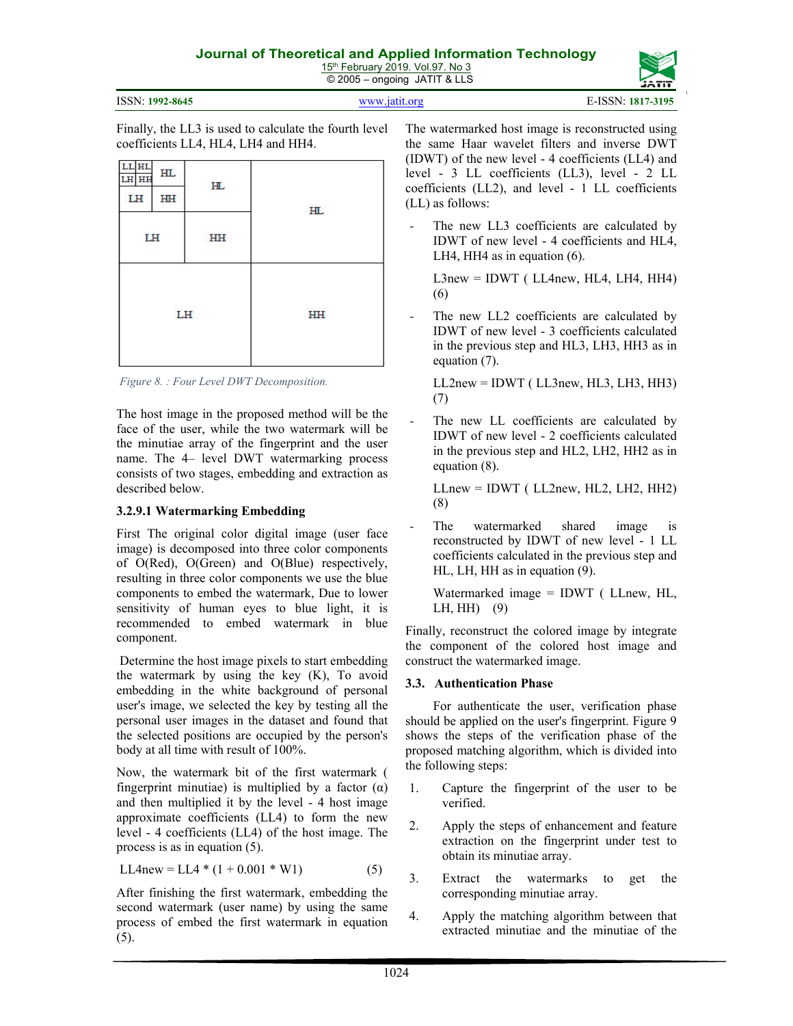

1024

The watermarked host image is reconstructed using the same Haar wavelet filters and inverse DWT (IDWT) of the new level - 4 coefficients (LL4) and level - 3 LL coefficients (LL3), level - 2 LL coefficients (LL2), and level - 1 LL coefficients (LL) as follows:

The new LL3 coefficients are calculated by IDWT of new level - 4 coefficients and HL4, LH4, HH4 as in equation (6).

 $L3new = IDWT$  ( $LL4new$ ,  $HL4$ ,  $LH4$ ,  $HH4$ ) (6)

The new LL2 coefficients are calculated by IDWT of new level - 3 coefficients calculated in the previous step and HL3, LH3, HH3 as in equation (7).

 $LL2new = IDWT (LL3new, HL3, LH3, HH3)$ (7)

The new LL coefficients are calculated by IDWT of new level - 2 coefficients calculated in the previous step and HL2, LH2, HH2 as in equation (8).

 $LLnew = IDWT (LL2new, HL2, LH2, HH2)$ (8)

The watermarked shared image is reconstructed by IDWT of new level - 1 LL coefficients calculated in the previous step and HL, LH, HH as in equation (9).

Watermarked image = IDWT ( LLnew, HL, LH, HH) (9)

Finally, reconstruct the colored image by integrate the component of the colored host image and construct the watermarked image.

## **3.3. Authentication Phase**

For authenticate the user, verification phase should be applied on the user's fingerprint. Figure 9 shows the steps of the verification phase of the proposed matching algorithm, which is divided into the following steps:

- 1. Capture the fingerprint of the user to be verified.
- 2. Apply the steps of enhancement and feature extraction on the fingerprint under test to obtain its minutiae array.
- 3. Extract the watermarks to get the corresponding minutiae array.
- 4. Apply the matching algorithm between that extracted minutiae and the minutiae of the

Finally, the LL3 is used to calculate the fourth level coefficients LL4, HL4, LH4 and HH4.

| <b>LL</b> HL<br>LH HH | HL |    |                         |
|-----------------------|----|----|-------------------------|
| LH                    | HH | H  | HL.                     |
| LH                    |    | HH |                         |
| LH                    |    |    | <b>CONTRACTOR</b><br>HH |

*Figure 8. : Four Level DWT Decomposition.*

The host image in the proposed method will be the face of the user, while the two watermark will be the minutiae array of the fingerprint and the user name. The 4– level DWT watermarking process consists of two stages, embedding and extraction as described below.

# **3.2.9.1 Watermarking Embedding**

First The original color digital image (user face image) is decomposed into three color components of O(Red), O(Green) and O(Blue) respectively, resulting in three color components we use the blue components to embed the watermark, Due to lower sensitivity of human eyes to blue light, it is recommended to embed watermark in blue component.

 Determine the host image pixels to start embedding the watermark by using the key (K), To avoid embedding in the white background of personal user's image, we selected the key by testing all the personal user images in the dataset and found that the selected positions are occupied by the person's body at all time with result of 100%.

Now, the watermark bit of the first watermark ( fingerprint minutiae) is multiplied by a factor  $(\alpha)$ and then multiplied it by the level - 4 host image approximate coefficients (LL4) to form the new level - 4 coefficients (LL4) of the host image. The process is as in equation (5).

$$
LL4new = LL4 * (1 + 0.001 * W1)
$$
 (5)

After finishing the first watermark, embedding the second watermark (user name) by using the same process of embed the first watermark in equation (5).

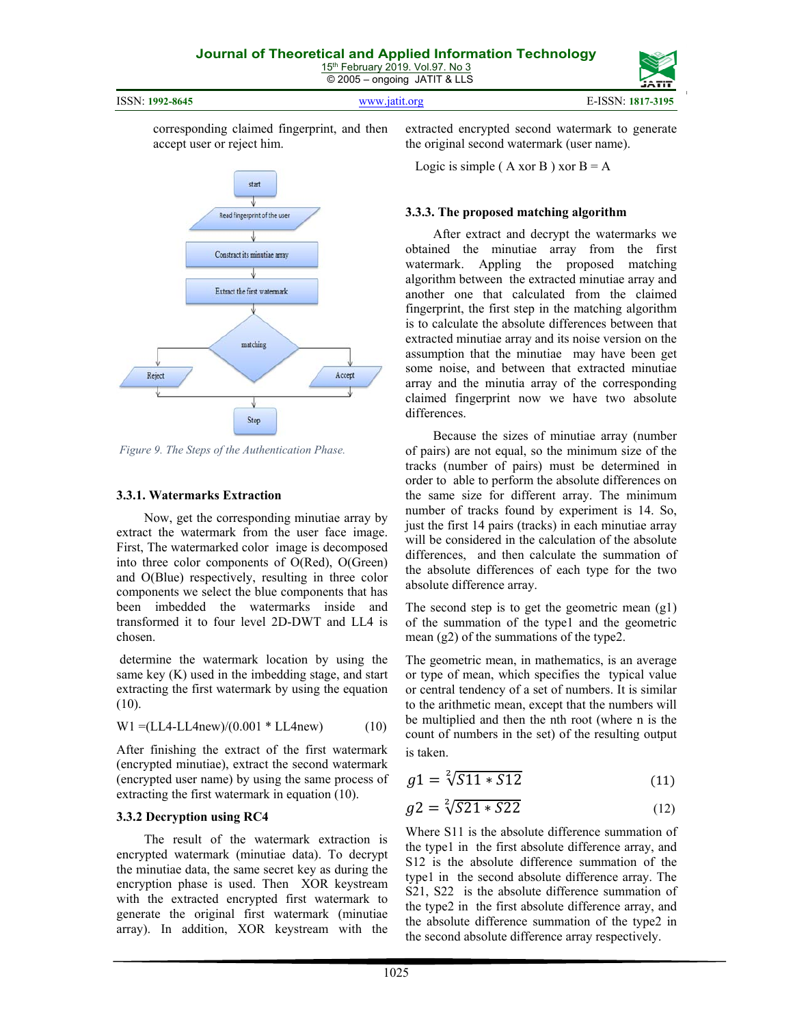ISSN: **1992-8645** www.jatit.org E-ISSN: **1817-3195**

corresponding claimed fingerprint, and then accept user or reject him.



 *Figure 9. The Steps of the Authentication Phase.*

## **3.3.1. Watermarks Extraction**

Now, get the corresponding minutiae array by extract the watermark from the user face image. First, The watermarked color image is decomposed into three color components of O(Red), O(Green) and O(Blue) respectively, resulting in three color components we select the blue components that has been imbedded the watermarks inside and transformed it to four level 2D-DWT and LL4 is chosen.

 determine the watermark location by using the same key (K) used in the imbedding stage, and start extracting the first watermark by using the equation (10).

$$
W1 = (LL4 - LL4 new)/(0.001 * LL4 new)
$$
 (10)

After finishing the extract of the first watermark (encrypted minutiae), extract the second watermark (encrypted user name) by using the same process of extracting the first watermark in equation (10).

## **3.3.2 Decryption using RC4**

The result of the watermark extraction is encrypted watermark (minutiae data). To decrypt the minutiae data, the same secret key as during the encryption phase is used. Then XOR keystream with the extracted encrypted first watermark to generate the original first watermark (minutiae array). In addition, XOR keystream with the extracted encrypted second watermark to generate the original second watermark (user name).

Logic is simple ( $A$  xor B) xor  $B = A$ 

#### **3.3.3. The proposed matching algorithm**

After extract and decrypt the watermarks we obtained the minutiae array from the first watermark. Appling the proposed matching algorithm between the extracted minutiae array and another one that calculated from the claimed fingerprint, the first step in the matching algorithm is to calculate the absolute differences between that extracted minutiae array and its noise version on the assumption that the minutiae may have been get some noise, and between that extracted minutiae array and the minutia array of the corresponding claimed fingerprint now we have two absolute differences.

Because the sizes of minutiae array (number of pairs) are not equal, so the minimum size of the tracks (number of pairs) must be determined in order to able to perform the absolute differences on the same size for different array. The minimum number of tracks found by experiment is 14. So, just the first 14 pairs (tracks) in each minutiae array will be considered in the calculation of the absolute differences, and then calculate the summation of the absolute differences of each type for the two absolute difference array.

The second step is to get the geometric mean (g1) of the summation of the type1 and the geometric mean  $(g2)$  of the summations of the type2.

The geometric mean, in mathematics, is an average or type of mean, which specifies the typical value or central tendency of a set of numbers. It is similar to the arithmetic mean, except that the numbers will be multiplied and then the nth root (where n is the count of numbers in the set) of the resulting output is taken.

$$
g1 = \sqrt[2]{511 * 512} \tag{11}
$$

$$
g2 = \sqrt[2]{521 * 522} \tag{12}
$$

Where S11 is the absolute difference summation of the type1 in the first absolute difference array, and S12 is the absolute difference summation of the type1 in the second absolute difference array. The S21, S22 is the absolute difference summation of the type2 in the first absolute difference array, and the absolute difference summation of the type2 in the second absolute difference array respectively.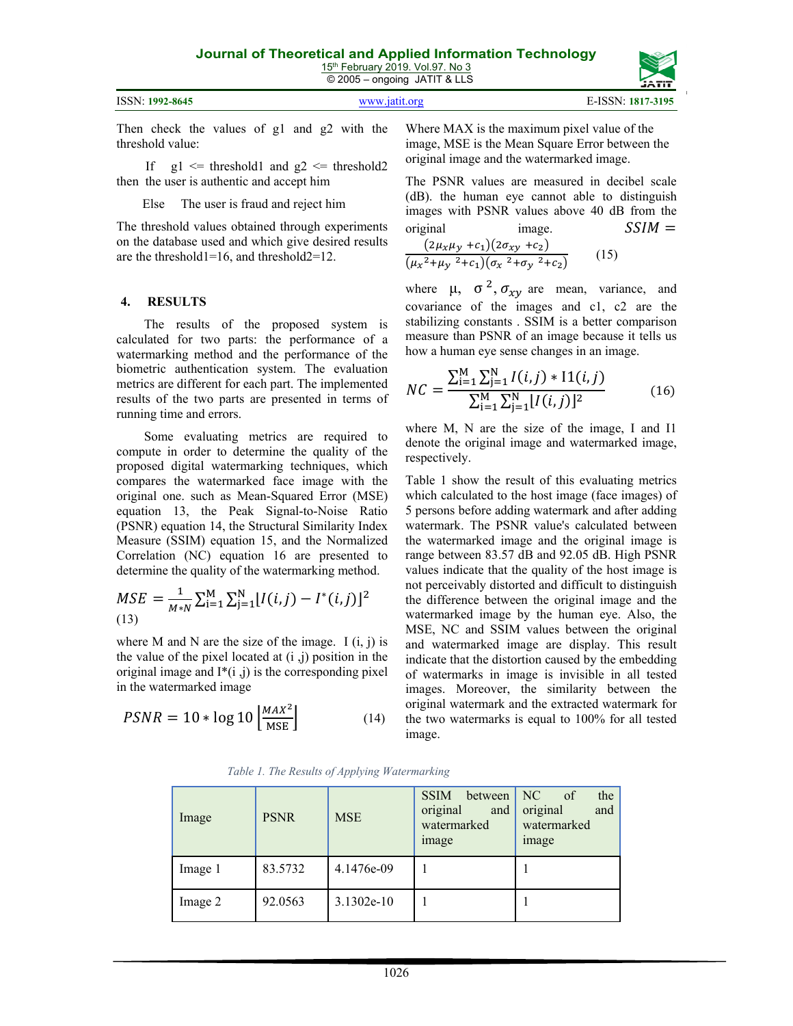| 15th February 2019, Vol.97, No 3   |
|------------------------------------|
| $\circ$ 2005 – ongoing JATIT & LLS |

|                 | . .           | ,,,,,,            |
|-----------------|---------------|-------------------|
| ISSN: 1992-8645 | www.19t1t.org | E-ISSN: 1817-3195 |

Then check the values of g1 and g2 with the threshold value:

If  $g1 \leq threshold1$  and  $g2 \leq threshold2$ then the user is authentic and accept him

Else The user is fraud and reject him

The threshold values obtained through experiments on the database used and which give desired results are the threshold1=16, and threshold2=12.

#### **4. RESULTS**

The results of the proposed system is calculated for two parts: the performance of a watermarking method and the performance of the biometric authentication system. The evaluation metrics are different for each part. The implemented results of the two parts are presented in terms of running time and errors.

Some evaluating metrics are required to compute in order to determine the quality of the proposed digital watermarking techniques, which compares the watermarked face image with the original one. such as Mean-Squared Error (MSE) equation 13, the Peak Signal-to-Noise Ratio (PSNR) equation 14, the Structural Similarity Index Measure (SSIM) equation 15, and the Normalized Correlation (NC) equation 16 are presented to determine the quality of the watermarking method.

$$
MSE = \frac{1}{M*N} \sum_{i=1}^{M} \sum_{j=1}^{N} [I(i,j) - I^*(i,j)]^2
$$
\n(13)

where M and N are the size of the image.  $I(i, j)$  is the value of the pixel located at  $(i, j)$  position in the original image and  $I^*(i, j)$  is the corresponding pixel in the watermarked image

$$
PSNR = 10 * \log 10 \left[ \frac{MAX^2}{MSE} \right] \tag{14}
$$

Where MAX is the maximum pixel value of the image, MSE is the Mean Square Error between the original image and the watermarked image.

The PSNR values are measured in decibel scale (dB). the human eye cannot able to distinguish images with PSNR values above 40 dB from the original image.  $SSIM =$ 

$$
\frac{(2\mu_x\mu_y + c_1)(2\sigma_{xy} + c_2)}{(\mu_x^2 + \mu_y^2 + c_1)(\sigma_x^2 + \sigma_y^2 + c_2)}
$$
 (15)

where  $\mu$ ,  $\sigma^2$ ,  $\sigma_{xy}$  are mean, variance, and covariance of the images and c1, c2 are the stabilizing constants . SSIM is a better comparison measure than PSNR of an image because it tells us how a human eye sense changes in an image.

$$
NC = \frac{\sum_{i=1}^{M} \sum_{j=1}^{N} I(i,j) * I1(i,j)}{\sum_{i=1}^{M} \sum_{j=1}^{N} [I(i,j)]^2}
$$
(16)

where M, N are the size of the image, I and I1 denote the original image and watermarked image, respectively.

Table 1 show the result of this evaluating metrics which calculated to the host image (face images) of 5 persons before adding watermark and after adding watermark. The PSNR value's calculated between the watermarked image and the original image is range between 83.57 dB and 92.05 dB. High PSNR values indicate that the quality of the host image is not perceivably distorted and difficult to distinguish the difference between the original image and the watermarked image by the human eye. Also, the MSE, NC and SSIM values between the original and watermarked image are display. This result indicate that the distortion caused by the embedding of watermarks in image is invisible in all tested images. Moreover, the similarity between the original watermark and the extracted watermark for the two watermarks is equal to 100% for all tested image.

 *Table 1. The Results of Applying Watermarking*

| Image   | <b>PSNR</b> | <b>MSE</b>   | <b>SSIM</b><br>between<br>original<br>and<br>watermarked<br><i>image</i> | l NC.<br>of<br>the<br>original<br>and<br>watermarked<br><i>image</i> |
|---------|-------------|--------------|--------------------------------------------------------------------------|----------------------------------------------------------------------|
| Image 1 | 83.5732     | 4.1476e-09   |                                                                          |                                                                      |
| Image 2 | 92.0563     | $3.1302e-10$ |                                                                          |                                                                      |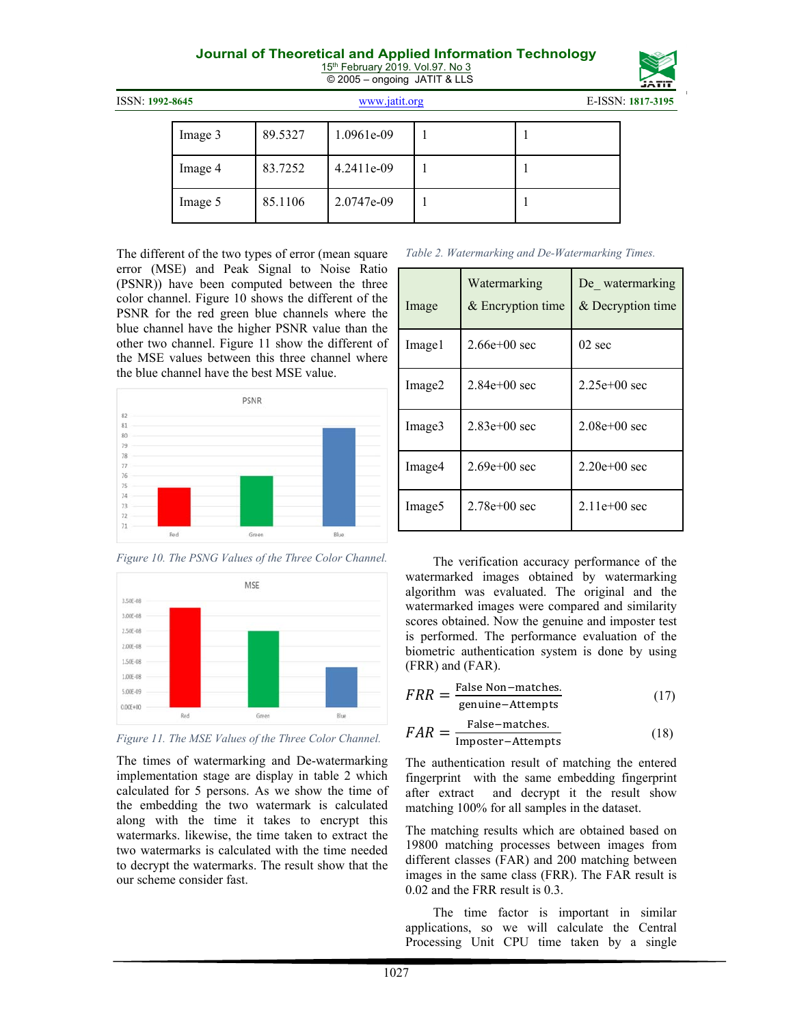15<sup>th</sup> February 2019. Vol.97. No 3 © 2005 – ongoing JATIT & LLS

| ISSN: 1992-8645 |         |         | www.jatit.org |  |  | E-ISSN: 1817-3195 |  |
|-----------------|---------|---------|---------------|--|--|-------------------|--|
|                 | Image 3 | 89.5327 | 1.0961e-09    |  |  |                   |  |
|                 | Image 4 | 83.7252 | $4.2411e-09$  |  |  |                   |  |
|                 | Image 5 | 85.1106 | 2.0747e-09    |  |  |                   |  |

The different of the two types of error (mean square error (MSE) and Peak Signal to Noise Ratio (PSNR)) have been computed between the three color channel. Figure 10 shows the different of the PSNR for the red green blue channels where the blue channel have the higher PSNR value than the other two channel. Figure 11 show the different of the MSE values between this three channel where the blue channel have the best MSE value.



*Figure 10. The PSNG Values of the Three Color Channel.*



*Figure 11. The MSE Values of the Three Color Channel.*

The times of watermarking and De-watermarking implementation stage are display in table 2 which calculated for 5 persons. As we show the time of the embedding the two watermark is calculated along with the time it takes to encrypt this watermarks. likewise, the time taken to extract the two watermarks is calculated with the time needed to decrypt the watermarks. The result show that the our scheme consider fast.

|  | Table 2. Watermarking and De-Watermarking Times. |
|--|--------------------------------------------------|
|--|--------------------------------------------------|

| Image              | Watermarking<br>& Encryption time | De watermarking<br>& Decryption time |
|--------------------|-----------------------------------|--------------------------------------|
| Image1             | $2.66e + 00$ sec                  | $02 \text{ sec}$                     |
| Image2             | $2.84e+00$ sec                    | $2.25e+00$ sec                       |
| Image3             | $2.83e+00$ sec                    | $2.08e + 00$ sec                     |
| Image4             | $2.69e + 00$ sec                  | $2.20e+00$ sec                       |
| Image <sub>5</sub> | $2.78e+00$ sec                    | $2.11e+00$ sec                       |

The verification accuracy performance of the watermarked images obtained by watermarking algorithm was evaluated. The original and the watermarked images were compared and similarity scores obtained. Now the genuine and imposter test is performed. The performance evaluation of the biometric authentication system is done by using (FRR) and (FAR).

$$
FRR = \frac{\text{False Non-matches.}}{\text{genuine-Attempts}} \tag{17}
$$

$$
FAR = \frac{\text{False-matches.}}{\text{Importer-Attempts}} \tag{18}
$$

The authentication result of matching the entered fingerprint with the same embedding fingerprint after extract and decrypt it the result show matching 100% for all samples in the dataset.

The matching results which are obtained based on 19800 matching processes between images from different classes (FAR) and 200 matching between images in the same class (FRR). The FAR result is 0.02 and the FRR result is 0.3.

The time factor is important in similar applications, so we will calculate the Central Processing Unit CPU time taken by a single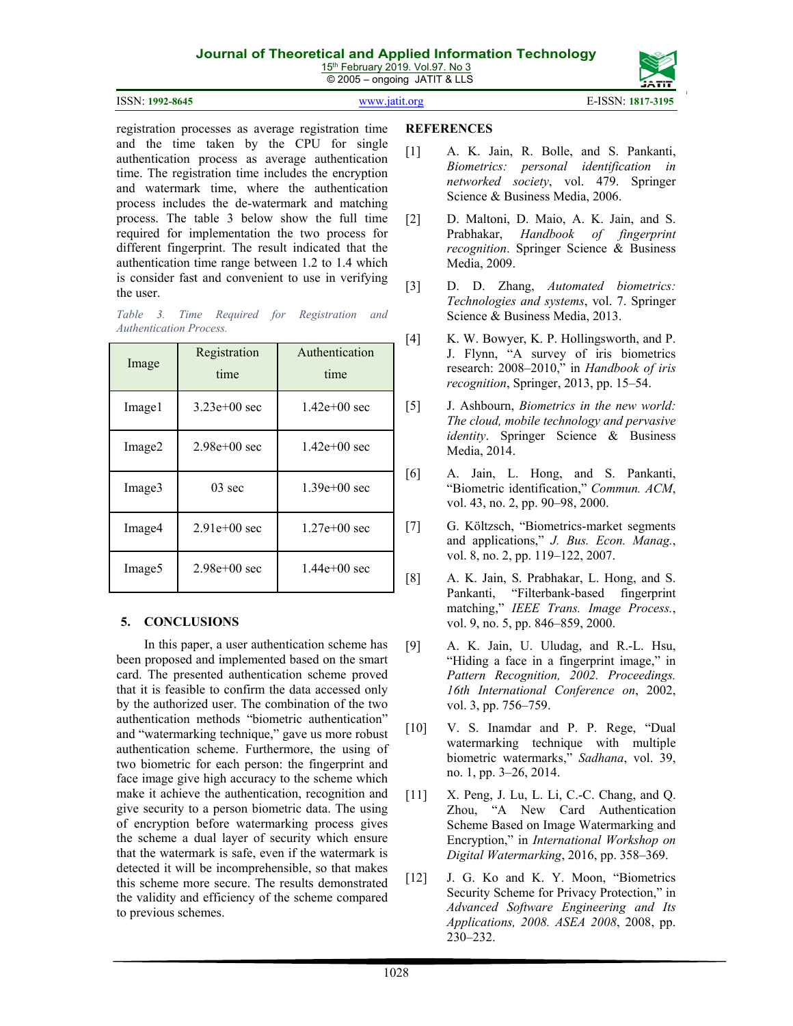15<sup>th</sup> February 2019. Vol.97. No 3 © 2005 – ongoing JATIT & LLS





registration processes as average registration time and the time taken by the CPU for single authentication process as average authentication time. The registration time includes the encryption and watermark time, where the authentication process includes the de-watermark and matching process. The table 3 below show the full time required for implementation the two process for different fingerprint. The result indicated that the authentication time range between 1.2 to 1.4 which is consider fast and convenient to use in verifying the user.

*Table 3. Time Required for Registration and Authentication Process.* 

| Image              | Registration<br>time | Authentication<br>time |
|--------------------|----------------------|------------------------|
| Image1             | $3.23e+00$ sec       | $1.42e+00$ sec         |
| Image <sub>2</sub> | $2.98e + 00$ sec     | $1.42e+00$ sec         |
| Image3             | $03 \text{ sec}$     | $1.39e+00$ sec         |
| Image4             | $2.91e+00$ sec       | $1.27e+00$ sec         |
| Image <sub>5</sub> | $2.98e + 00$ sec     | $1.44e+00$ sec         |

## **5. CONCLUSIONS**

In this paper, a user authentication scheme has been proposed and implemented based on the smart card. The presented authentication scheme proved that it is feasible to confirm the data accessed only by the authorized user. The combination of the two authentication methods "biometric authentication" and "watermarking technique," gave us more robust authentication scheme. Furthermore, the using of two biometric for each person: the fingerprint and face image give high accuracy to the scheme which make it achieve the authentication, recognition and give security to a person biometric data. The using of encryption before watermarking process gives the scheme a dual layer of security which ensure that the watermark is safe, even if the watermark is detected it will be incomprehensible, so that makes this scheme more secure. The results demonstrated the validity and efficiency of the scheme compared to previous schemes.

#### **REFERENCES**

- [1] A. K. Jain, R. Bolle, and S. Pankanti, *Biometrics: personal identification in networked society*, vol. 479. Springer Science & Business Media, 2006.
- [2] D. Maltoni, D. Maio, A. K. Jain, and S. Prabhakar, *Handbook of fingerprint recognition*. Springer Science & Business Media, 2009.
- [3] D. D. Zhang, *Automated biometrics: Technologies and systems*, vol. 7. Springer Science & Business Media, 2013.
- [4] K. W. Bowyer, K. P. Hollingsworth, and P. J. Flynn, "A survey of iris biometrics research: 2008–2010," in *Handbook of iris recognition*, Springer, 2013, pp. 15–54.
- [5] J. Ashbourn, *Biometrics in the new world: The cloud, mobile technology and pervasive identity*. Springer Science & Business Media, 2014.
- [6] A. Jain, L. Hong, and S. Pankanti, "Biometric identification," *Commun. ACM*, vol. 43, no. 2, pp. 90–98, 2000.
- [7] G. Költzsch, "Biometrics‐market segments and applications," *J. Bus. Econ. Manag.*, vol. 8, no. 2, pp. 119–122, 2007.
- [8] A. K. Jain, S. Prabhakar, L. Hong, and S. Pankanti, "Filterbank-based fingerprint matching," *IEEE Trans. Image Process.*, vol. 9, no. 5, pp. 846–859, 2000.
- [9] A. K. Jain, U. Uludag, and R.-L. Hsu, "Hiding a face in a fingerprint image," in *Pattern Recognition, 2002. Proceedings. 16th International Conference on*, 2002, vol. 3, pp. 756–759.
- [10] V. S. Inamdar and P. P. Rege, "Dual watermarking technique with multiple biometric watermarks," *Sadhana*, vol. 39, no. 1, pp. 3–26, 2014.
- [11] X. Peng, J. Lu, L. Li, C.-C. Chang, and Q. Zhou, "A New Card Authentication Scheme Based on Image Watermarking and Encryption," in *International Workshop on Digital Watermarking*, 2016, pp. 358–369.
- [12] J. G. Ko and K. Y. Moon, "Biometrics Security Scheme for Privacy Protection," in *Advanced Software Engineering and Its Applications, 2008. ASEA 2008*, 2008, pp. 230–232.